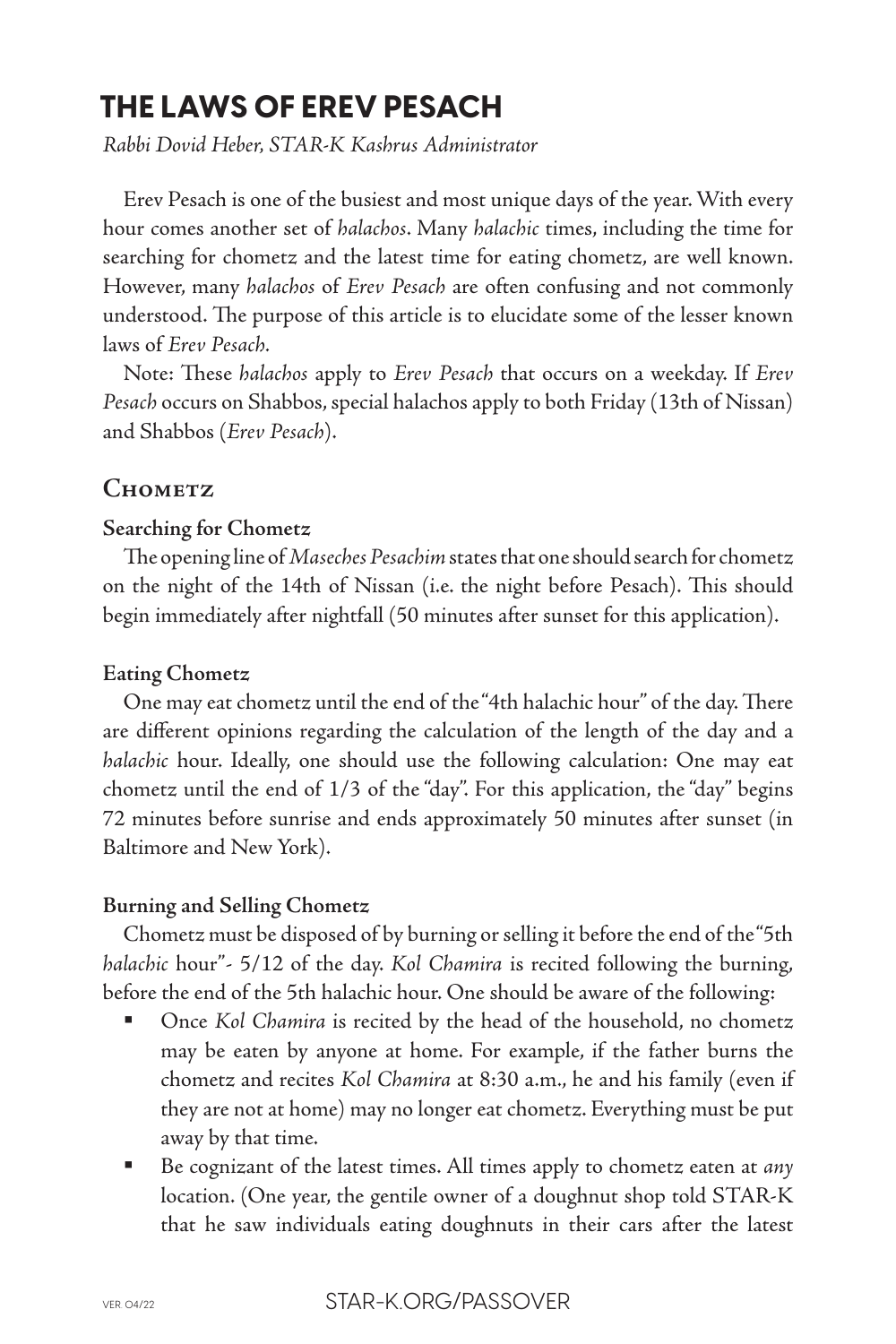# **THE LAWS OF EREV PESACH**

*Rabbi Dovid Heber, STAR-K Kashrus Administrator*

Erev Pesach is one of the busiest and most unique days of the year. With every hour comes another set of *halachos*. Many *halachic* times, including the time for searching for chometz and the latest time for eating chometz, are well known. However, many *halachos* of *Erev Pesach* are often confusing and not commonly understood. The purpose of this article is to elucidate some of the lesser known laws of *Erev Pesach.*

Note: These *halachos* apply to *Erev Pesach* that occurs on a weekday. If *Erev Pesach* occurs on Shabbos, special halachos apply to both Friday (13th of Nissan) and Shabbos (*Erev Pesach*).

# **Chometz**

## **Searching for Chometz**

The opening line of *Maseches Pesachim* states that one should search for chometz on the night of the 14th of Nissan (i.e. the night before Pesach). This should begin immediately after nightfall (50 minutes after sunset for this application).

## **Eating Chometz**

One may eat chometz until the end of the "4th halachic hour" of the day. There are different opinions regarding the calculation of the length of the day and a *halachic* hour. Ideally, one should use the following calculation: One may eat chometz until the end of 1/3 of the "day". For this application, the "day" begins 72 minutes before sunrise and ends approximately 50 minutes after sunset (in Baltimore and New York).

## **Burning and Selling Chometz**

Chometz must be disposed of by burning or selling it before the end of the "5th *halachic* hour"- 5/12 of the day. *Kol Chamira* is recited following the burning, before the end of the 5th halachic hour. One should be aware of the following:

- Once *Kol Chamira* is recited by the head of the household, no chometz may be eaten by anyone at home. For example, if the father burns the chometz and recites *Kol Chamira* at 8:30 a.m., he and his family (even if they are not at home) may no longer eat chometz. Everything must be put away by that time.
- Be cognizant of the latest times. All times apply to chometz eaten at *any* location. (One year, the gentile owner of a doughnut shop told STAR-K that he saw individuals eating doughnuts in their cars after the latest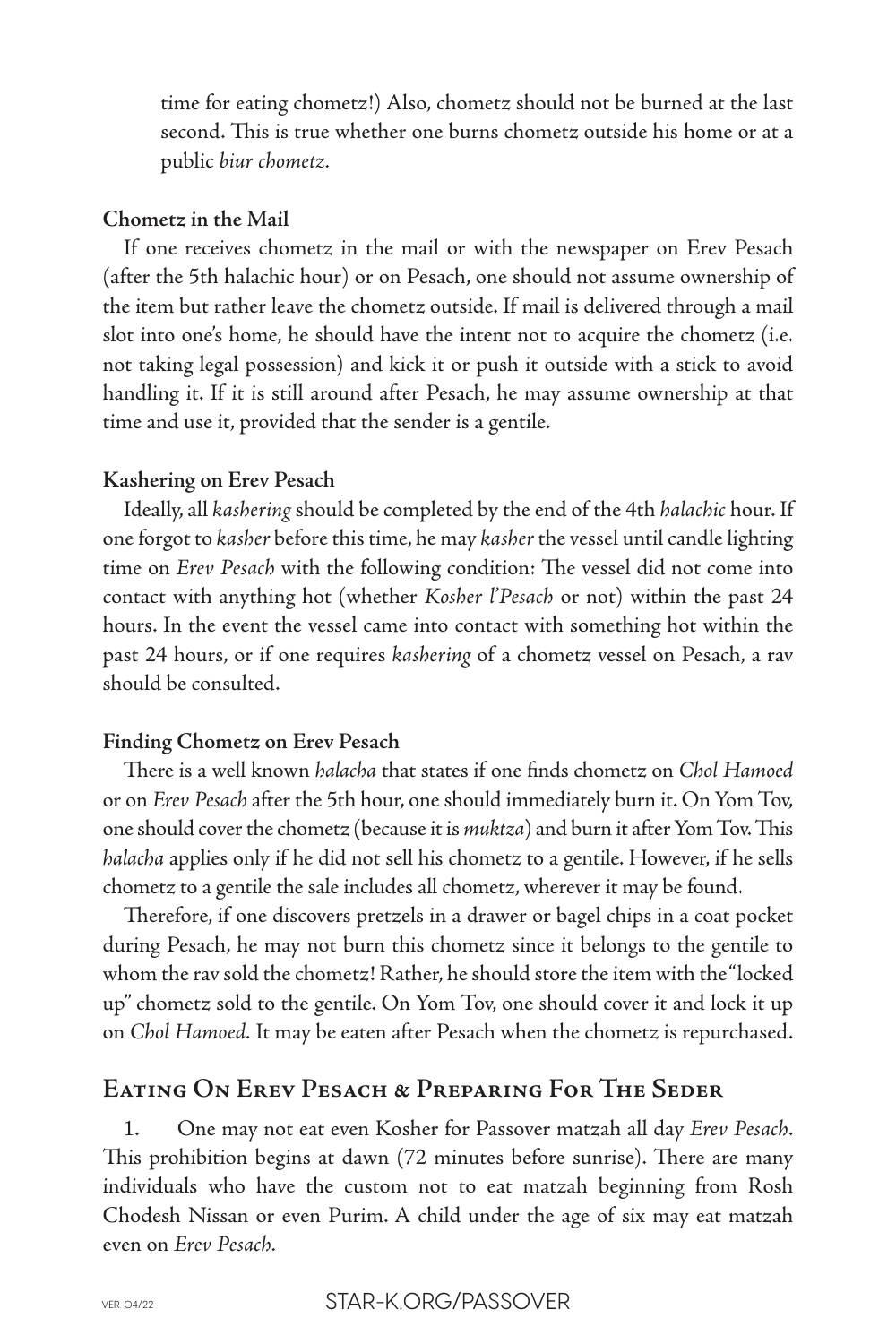time for eating chometz!) Also, chometz should not be burned at the last second. This is true whether one burns chometz outside his home or at a public *biur chometz.*

#### **Chometz in the Mail**

If one receives chometz in the mail or with the newspaper on Erev Pesach (after the 5th halachic hour) or on Pesach, one should not assume ownership of the item but rather leave the chometz outside. If mail is delivered through a mail slot into one's home, he should have the intent not to acquire the chometz (i.e. not taking legal possession) and kick it or push it outside with a stick to avoid handling it. If it is still around after Pesach, he may assume ownership at that time and use it, provided that the sender is a gentile.

#### **Kashering on Erev Pesach**

Ideally, all *kashering* should be completed by the end of the 4th *halachic* hour. If one forgot to *kasher* before this time, he may *kasher* the vessel until candle lighting time on *Erev Pesach* with the following condition: The vessel did not come into contact with anything hot (whether *Kosher l'Pesach* or not) within the past 24 hours. In the event the vessel came into contact with something hot within the past 24 hours, or if one requires *kashering* of a chometz vessel on Pesach, a rav should be consulted.

#### **Finding Chometz on Erev Pesach**

There is a well known *halacha* that states if one finds chometz on *Chol Hamoed* or on *Erev Pesach* after the 5th hour, one should immediately burn it. On Yom Tov, one should cover the chometz (because it is *muktza*) and burn it after Yom Tov. This *halacha* applies only if he did not sell his chometz to a gentile. However, if he sells chometz to a gentile the sale includes all chometz, wherever it may be found.

Therefore, if one discovers pretzels in a drawer or bagel chips in a coat pocket during Pesach, he may not burn this chometz since it belongs to the gentile to whom the rav sold the chometz! Rather, he should store the item with the "locked up" chometz sold to the gentile. On Yom Tov, one should cover it and lock it up on *Chol Hamoed.* It may be eaten after Pesach when the chometz is repurchased.

## **Eating On Erev Pesach & Preparing For The Seder**

1. One may not eat even Kosher for Passover matzah all day *Erev Pesach*. This prohibition begins at dawn (72 minutes before sunrise). There are many individuals who have the custom not to eat matzah beginning from Rosh Chodesh Nissan or even Purim. A child under the age of six may eat matzah even on *Erev Pesach.*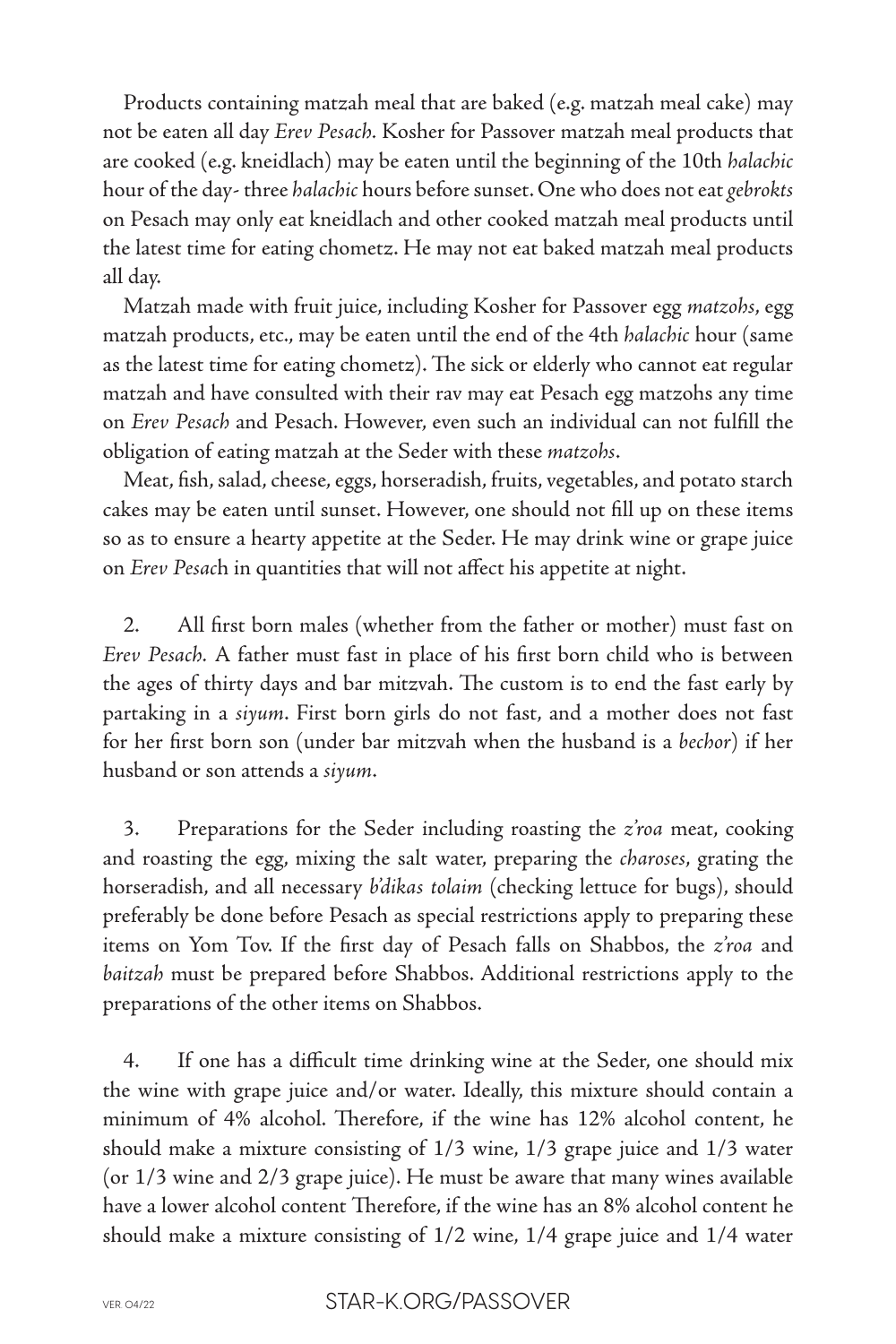Products containing matzah meal that are baked (e.g. matzah meal cake) may not be eaten all day *Erev Pesach.* Kosher for Passover matzah meal products that are cooked (e.g. kneidlach) may be eaten until the beginning of the 10th *halachic* hour of the day- three *halachic* hours before sunset. One who does not eat *gebrokts* on Pesach may only eat kneidlach and other cooked matzah meal products until the latest time for eating chometz. He may not eat baked matzah meal products all day.

Matzah made with fruit juice, including Kosher for Passover egg *matzohs*, egg matzah products, etc., may be eaten until the end of the 4th *halachic* hour (same as the latest time for eating chometz). The sick or elderly who cannot eat regular matzah and have consulted with their rav may eat Pesach egg matzohs any time on *Erev Pesach* and Pesach. However, even such an individual can not fulfill the obligation of eating matzah at the Seder with these *matzohs*.

Meat, fish, salad, cheese, eggs, horseradish, fruits, vegetables, and potato starch cakes may be eaten until sunset. However, one should not fill up on these items so as to ensure a hearty appetite at the Seder. He may drink wine or grape juice on *Erev Pesac*h in quantities that will not affect his appetite at night.

2. All first born males (whether from the father or mother) must fast on *Erev Pesach.* A father must fast in place of his first born child who is between the ages of thirty days and bar mitzvah. The custom is to end the fast early by partaking in a *siyum*. First born girls do not fast, and a mother does not fast for her first born son (under bar mitzvah when the husband is a *bechor*) if her husband or son attends a *siyum*.

3. Preparations for the Seder including roasting the *z'roa* meat, cooking and roasting the egg, mixing the salt water, preparing the *charoses*, grating the horseradish, and all necessary *b'dikas tolaim* (checking lettuce for bugs), should preferably be done before Pesach as special restrictions apply to preparing these items on Yom Tov. If the first day of Pesach falls on Shabbos, the *z'roa* and *baitzah* must be prepared before Shabbos. Additional restrictions apply to the preparations of the other items on Shabbos.

4. If one has a difficult time drinking wine at the Seder, one should mix the wine with grape juice and/or water. Ideally, this mixture should contain a minimum of 4% alcohol. Therefore, if the wine has 12% alcohol content, he should make a mixture consisting of 1/3 wine, 1/3 grape juice and 1/3 water (or 1/3 wine and 2/3 grape juice). He must be aware that many wines available have a lower alcohol content Therefore, if the wine has an 8% alcohol content he should make a mixture consisting of 1/2 wine, 1/4 grape juice and 1/4 water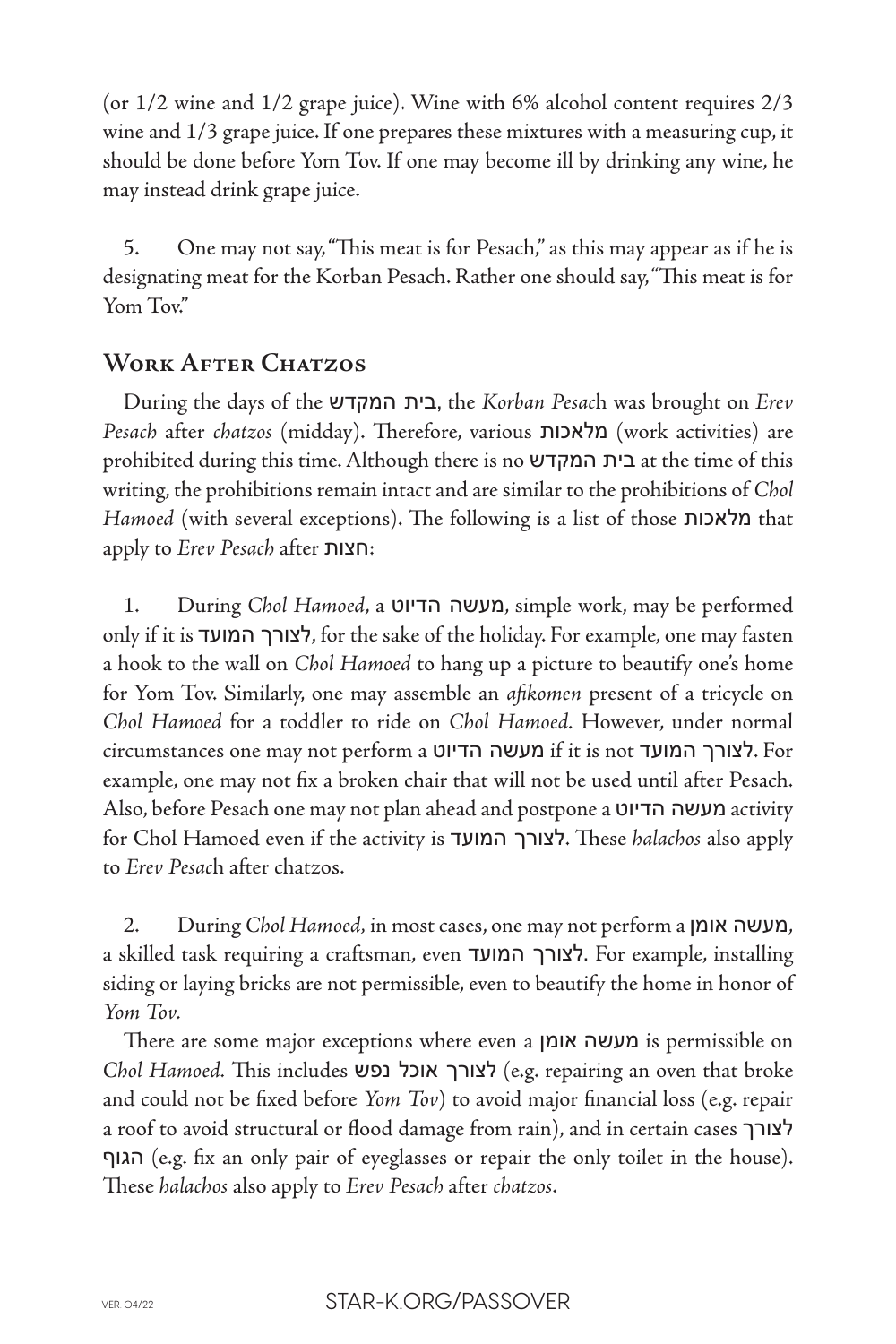(or 1/2 wine and 1/2 grape juice). Wine with 6% alcohol content requires 2/3 wine and 1/3 grape juice. If one prepares these mixtures with a measuring cup, it should be done before Yom Tov. If one may become ill by drinking any wine, he may instead drink grape juice.

5. One may not say, "This meat is for Pesach," as this may appear as if he is designating meat for the Korban Pesach. Rather one should say, "This meat is for Yom Tov."

# **Work After Chatzos**

During the days of the המקדש בית, the *Korban Pesac*h was brought on *Erev Pesach* after *chatzos* (midday). Therefore, various מלאכות) work activities) are prohibited during this time. Although there is no המקדש בית at the time of this writing, the prohibitions remain intact and are similar to the prohibitions of *Chol Hamoed* (with several exceptions). The following is a list of those מלאכות that apply to *Erev Pesach* after חצות:

1. During *Chol Hamoed*, a הדיוט מעשה, simple work, may be performed only if it is המועד לצורך, for the sake of the holiday. For example, one may fasten a hook to the wall on *Chol Hamoed* to hang up a picture to beautify one's home for Yom Tov. Similarly, one may assemble an *afikomen* present of a tricycle on *Chol Hamoed* for a toddler to ride on *Chol Hamoed.* However, under normal circumstances one may not perform a הדיוט מעשה if it is not המועד לצורך. For example, one may not fix a broken chair that will not be used until after Pesach. Also, before Pesach one may not plan ahead and postpone a הדיוט מעשה activity for Chol Hamoed even if the activity is המועד לצורך. These *halachos* also apply to *Erev Pesac*h after chatzos.

2. During *Chol Hamoed,* in most cases, one may not perform a אומן מעשה, a skilled task requiring a craftsman, even המועד לצורך. For example, installing siding or laying bricks are not permissible, even to beautify the home in honor of *Yom Tov.*

There are some major exceptions where even a אומן מעשה is permissible on *Chol Hamoed.* This includes נפש אוכל לצורך) e.g. repairing an oven that broke and could not be fixed before *Yom Tov*) to avoid major financial loss (e.g. repair a roof to avoid structural or flood damage from rain), and in certain cases לצורך הגוף) e.g. fix an only pair of eyeglasses or repair the only toilet in the house). These *halachos* also apply to *Erev Pesach* after *chatzos*.